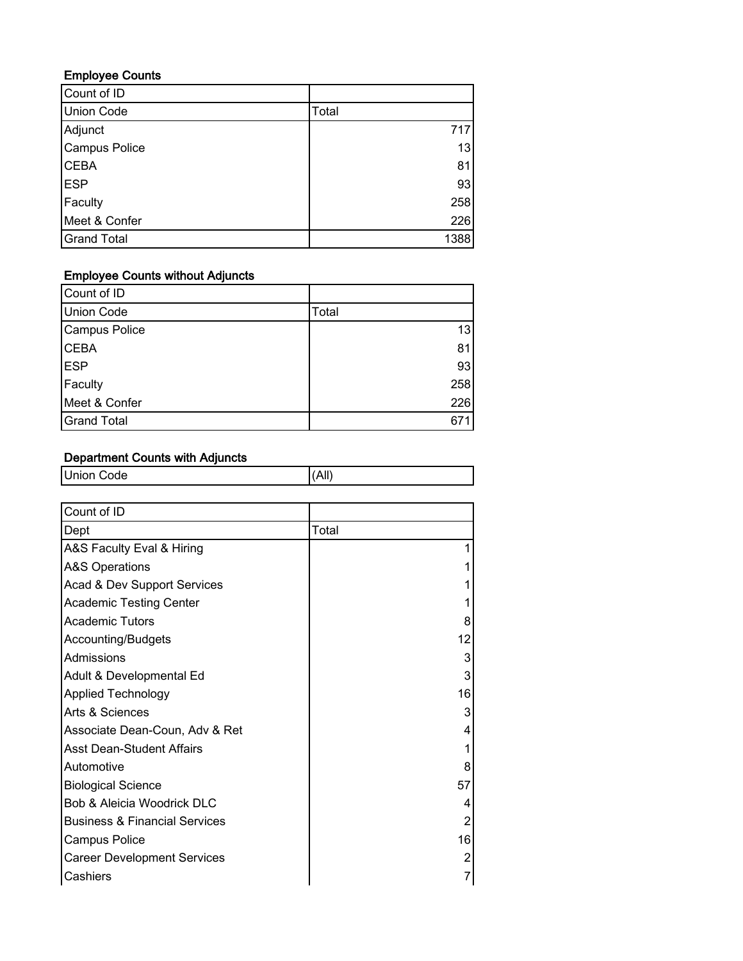#### Employee Counts

| Count of ID        |       |
|--------------------|-------|
| <b>Union Code</b>  | Total |
| Adjunct            | 717   |
| Campus Police      | 13    |
| <b>CEBA</b>        | 81    |
| <b>ESP</b>         | 93    |
| Faculty            | 258   |
| Meet & Confer      | 226   |
| <b>Grand Total</b> | 1388  |

#### Employee Counts without Adjuncts

| Count of ID        |       |
|--------------------|-------|
| Union Code         | Total |
| Campus Police      | 13    |
| <b>CEBA</b>        | 81    |
| <b>ESP</b>         | 93    |
| Faculty            | 258   |
| Meet & Confer      | 226   |
| <b>Grand Total</b> | 671   |

# Department Counts with Adjuncts

| <b>Union Code</b>                        | (AII) |                |
|------------------------------------------|-------|----------------|
|                                          |       |                |
| Count of ID                              |       |                |
| Dept                                     | Total |                |
| A&S Faculty Eval & Hiring                |       |                |
| <b>A&amp;S Operations</b>                |       |                |
| Acad & Dev Support Services              |       |                |
| <b>Academic Testing Center</b>           |       |                |
| <b>Academic Tutors</b>                   |       | 8              |
| Accounting/Budgets                       |       | 12             |
| Admissions                               |       | 3              |
| Adult & Developmental Ed                 |       | 3              |
| <b>Applied Technology</b>                |       | 16             |
| Arts & Sciences                          |       | 3              |
| Associate Dean-Coun, Adv & Ret           |       | 4              |
| <b>Asst Dean-Student Affairs</b>         |       |                |
| Automotive                               |       | 8              |
| <b>Biological Science</b>                |       | 57             |
| Bob & Aleicia Woodrick DLC               |       | 4              |
| <b>Business &amp; Financial Services</b> |       | 2              |
| <b>Campus Police</b>                     |       | 16             |
| <b>Career Development Services</b>       |       | $\overline{2}$ |
| Cashiers                                 |       | $\overline{7}$ |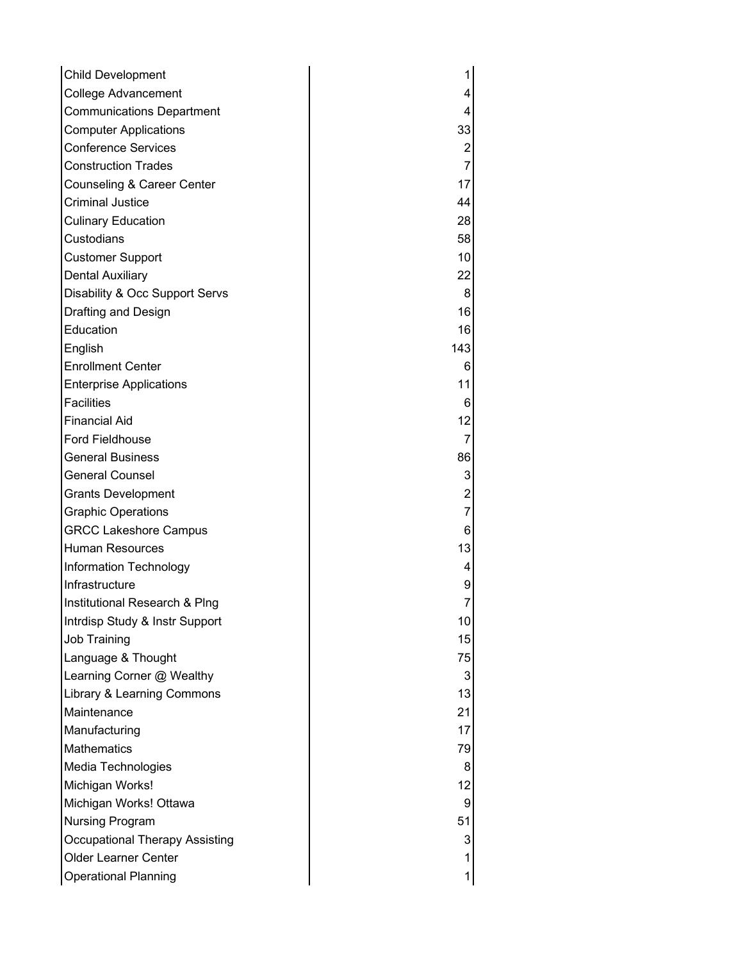| <b>Child Development</b>         |                 |
|----------------------------------|-----------------|
| <b>College Advancement</b>       | 4               |
| <b>Communications Department</b> | 4               |
| <b>Computer Applications</b>     | 33              |
| <b>Conference Services</b>       | $\mathbf{2}$    |
| <b>Construction Trades</b>       | $\overline{7}$  |
| Counseling & Career Center       | 17              |
| <b>Criminal Justice</b>          | 44              |
| <b>Culinary Education</b>        | 28              |
| Custodians                       | 58              |
| <b>Customer Support</b>          | 10              |
| <b>Dental Auxiliary</b>          | 22              |
| Disability & Occ Support Servs   | 8 <sup>1</sup>  |
| Drafting and Design              | 16              |
| Education                        | 16              |
| English                          | 143             |
| <b>Enrollment Center</b>         | $6 \mid$        |
| <b>Enterprise Applications</b>   | 11              |
| <b>Facilities</b>                | $6 \mid$        |
| <b>Financial Aid</b>             | 12              |
| <b>Ford Fieldhouse</b>           | $\overline{7}$  |
| <b>General Business</b>          | 86              |
| <b>General Counsel</b>           | 3               |
| <b>Grants Development</b>        | 2               |
| <b>Graphic Operations</b>        | $\overline{7}$  |
| <b>GRCC Lakeshore Campus</b>     | $6 \mid$        |
| Human Resources                  | 13              |
| Information Technology           | 4               |
| Infrastructure                   | 9               |
| Institutional Research & Ping    | 7               |
| Intrdisp Study & Instr Support   | 10 <sup>1</sup> |
| <b>Job Training</b>              | 15              |
| Language & Thought               | 75              |
| Learning Corner @ Wealthy        | 3               |
| Library & Learning Commons       | 13              |
| Maintenance                      | 21              |
| Manufacturing                    | 17              |
| <b>Mathematics</b>               | 79              |
| Media Technologies               | 8               |
| Michigan Works!                  | 12              |
| Michigan Works! Ottawa           | 9               |
| <b>Nursing Program</b>           | 51              |
| Occupational Therapy Assisting   | 3               |
| <b>Older Learner Center</b>      | 1               |
| <b>Operational Planning</b>      | 1               |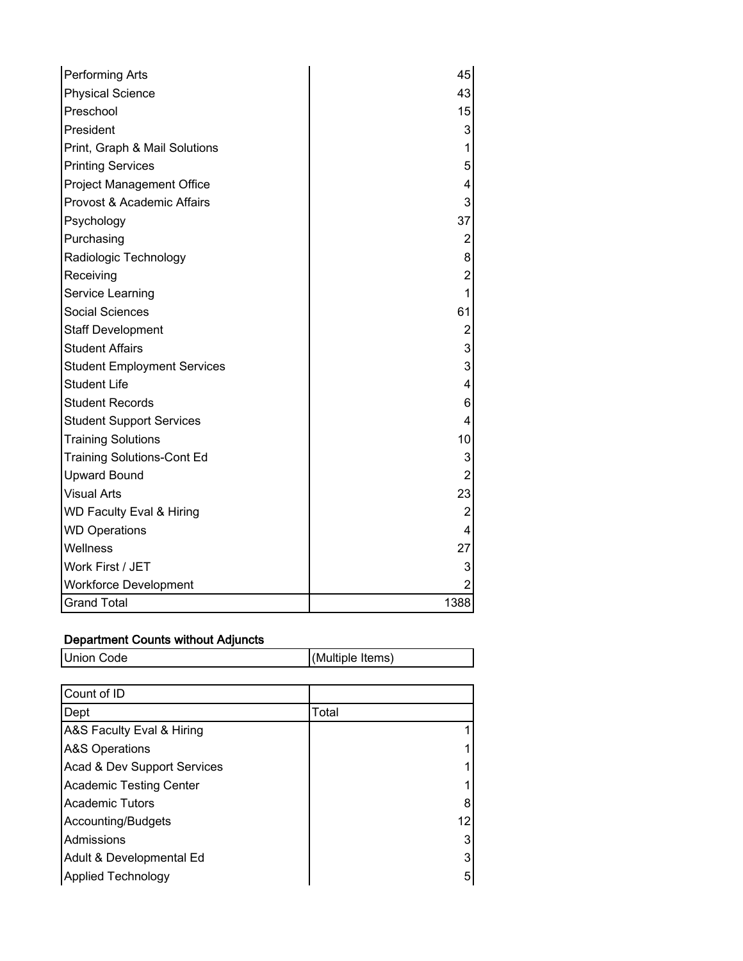| Performing Arts                     | 45               |
|-------------------------------------|------------------|
| <b>Physical Science</b>             | 43               |
| Preschool                           | 15               |
| President                           | 3                |
| Print, Graph & Mail Solutions       | 1                |
| <b>Printing Services</b>            | 5                |
| <b>Project Management Office</b>    | 4                |
| Provost & Academic Affairs          | 3                |
| Psychology                          | 37               |
| Purchasing                          | 2                |
| Radiologic Technology               | 8                |
| Receiving                           | $\overline{c}$   |
| Service Learning                    | 1                |
| <b>Social Sciences</b>              | 61               |
| <b>Staff Development</b>            | $\overline{c}$   |
| <b>Student Affairs</b>              | 3                |
| <b>Student Employment Services</b>  | 3                |
| <b>Student Life</b>                 | 4                |
| <b>Student Records</b>              | 6                |
| <b>Student Support Services</b>     | 4                |
| <b>Training Solutions</b>           | 10               |
| <b>Training Solutions-Cont Ed</b>   | 3                |
| <b>Upward Bound</b>                 | $\boldsymbol{2}$ |
| <b>Visual Arts</b>                  | 23               |
| <b>WD Faculty Eval &amp; Hiring</b> | $\overline{2}$   |
| <b>WD Operations</b>                | 4                |
| Wellness                            | 27               |
| Work First / JET                    | 3                |
| <b>Workforce Development</b>        |                  |
| <b>Grand Total</b>                  | 1388             |

# Department Counts without Adjuncts Union Code (Multiple Items)

| Count of ID                    |       |    |
|--------------------------------|-------|----|
| Dept                           | Total |    |
| A&S Faculty Eval & Hiring      |       |    |
| <b>A&amp;S Operations</b>      |       |    |
| Acad & Dev Support Services    |       |    |
| <b>Academic Testing Center</b> |       |    |
| <b>Academic Tutors</b>         |       | 8  |
| Accounting/Budgets             |       | 12 |
| Admissions                     |       | 3  |
| Adult & Developmental Ed       |       | 3  |
| <b>Applied Technology</b>      |       | 5  |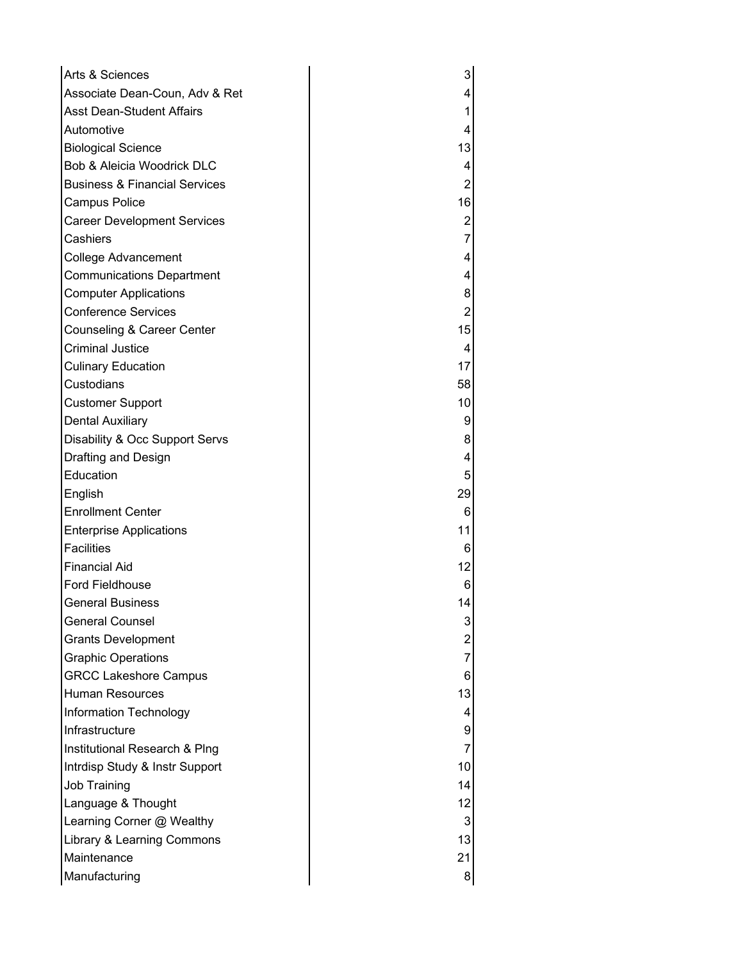| Arts & Sciences                          | 3              |
|------------------------------------------|----------------|
| Associate Dean-Coun, Adv & Ret           | 4              |
| <b>Asst Dean-Student Affairs</b>         | 1              |
| Automotive                               | 4              |
| <b>Biological Science</b>                | 13             |
| Bob & Aleicia Woodrick DLC               | 4              |
| <b>Business &amp; Financial Services</b> | $\overline{c}$ |
| <b>Campus Police</b>                     | 16             |
| <b>Career Development Services</b>       | 2              |
| Cashiers                                 | $\overline{7}$ |
| College Advancement                      | 4              |
| <b>Communications Department</b>         | 4              |
| <b>Computer Applications</b>             | 8              |
| <b>Conference Services</b>               | $\overline{2}$ |
| Counseling & Career Center               | 15             |
| <b>Criminal Justice</b>                  | 4              |
| <b>Culinary Education</b>                | 17             |
| Custodians                               | 58             |
| <b>Customer Support</b>                  | 10             |
| <b>Dental Auxiliary</b>                  | 9              |
| Disability & Occ Support Servs           | 8              |
| Drafting and Design                      | 4              |
| Education                                | 5              |
| English                                  | 29             |
| <b>Enrollment Center</b>                 | 6              |
| <b>Enterprise Applications</b>           | 11             |
| <b>Facilities</b>                        | 6              |
| <b>Financial Aid</b>                     | 12             |
| <b>Ford Fieldhouse</b>                   | 6              |
| <b>General Business</b>                  | 14             |
| <b>General Counsel</b>                   | 3              |
| <b>Grants Development</b>                | 2              |
| <b>Graphic Operations</b>                | 7              |
| <b>GRCC Lakeshore Campus</b>             | 6              |
| <b>Human Resources</b>                   | 13             |
| Information Technology                   | 4              |
| Infrastructure                           | 9              |
| Institutional Research & Plng            | 7              |
| Intrdisp Study & Instr Support           | 10             |
| Job Training                             | 14             |
| Language & Thought                       | 12             |
| Learning Corner @ Wealthy                | 3              |
| Library & Learning Commons               | 13             |
| Maintenance                              | 21             |
| Manufacturing                            | 8              |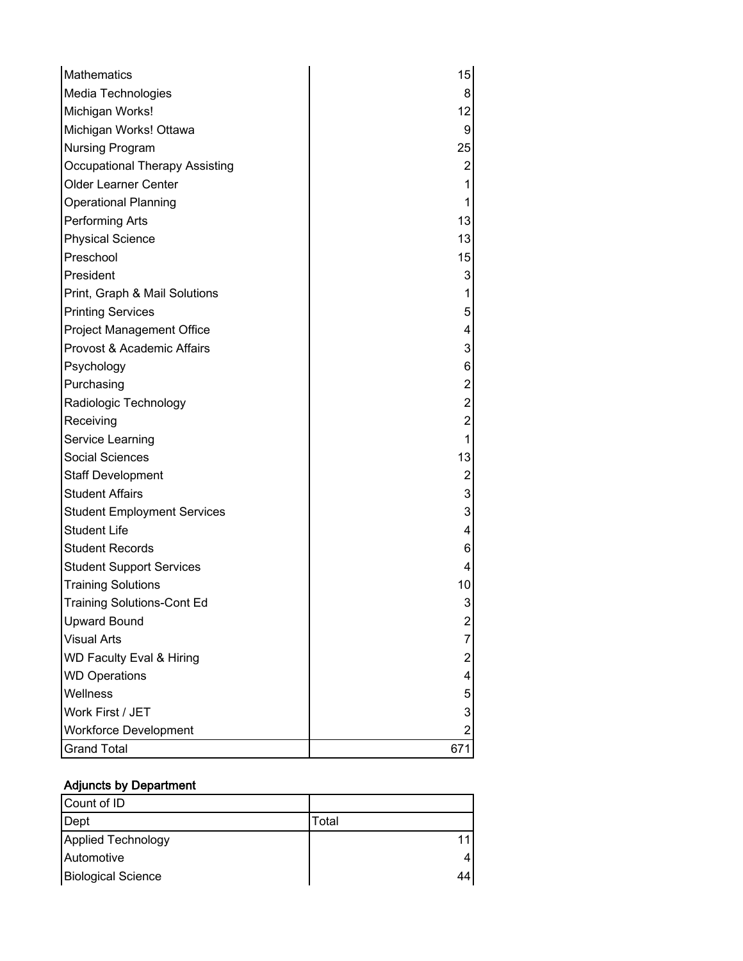| Mathematics                         | 15                      |
|-------------------------------------|-------------------------|
| Media Technologies                  | 8 <sup>1</sup>          |
| Michigan Works!                     | 12                      |
| Michigan Works! Ottawa              | $\overline{9}$          |
| Nursing Program                     | 25                      |
| Occupational Therapy Assisting      | $\mathbf{2}$            |
| Older Learner Center                | $\mathbf{1}$            |
| <b>Operational Planning</b>         | 1                       |
| Performing Arts                     | 13                      |
| <b>Physical Science</b>             | 13                      |
| Preschool                           | 15                      |
| President                           | $\mathbf{3}$            |
| Print, Graph & Mail Solutions       | 1                       |
| <b>Printing Services</b>            | $\sqrt{5}$              |
| <b>Project Management Office</b>    | 4                       |
| Provost & Academic Affairs          | $\mathbf{3}$            |
| Psychology                          | $6 \mid$                |
| Purchasing                          | $\mathbf{2}$            |
| Radiologic Technology               | $\boldsymbol{2}$        |
| Receiving                           | $\overline{2}$          |
| Service Learning                    | $\mathbf{1}$            |
| Social Sciences                     | 13                      |
| <b>Staff Development</b>            | $\overline{\mathbf{c}}$ |
| <b>Student Affairs</b>              | $\mathbf{3}$            |
| <b>Student Employment Services</b>  | 3                       |
| <b>Student Life</b>                 | $\overline{\mathbf{4}}$ |
| <b>Student Records</b>              | 6                       |
| <b>Student Support Services</b>     | 4                       |
| <b>Training Solutions</b>           | 10 <sup>1</sup>         |
| <b>Training Solutions-Cont Ed</b>   | 3                       |
| <b>Upward Bound</b>                 | $\overline{\mathbf{c}}$ |
| <b>Visual Arts</b>                  | 7                       |
| <b>WD Faculty Eval &amp; Hiring</b> | $\overline{c}$          |
| <b>WD Operations</b>                | 4                       |
| Wellness                            | 5                       |
| Work First / JET                    | 3                       |
| <b>Workforce Development</b>        | 2                       |
| <b>Grand Total</b>                  | 671                     |

# Adjuncts by Department

| Count of ID               |       |
|---------------------------|-------|
| Dept                      | Total |
| Applied Technology        |       |
| Automotive                |       |
| <b>Biological Science</b> |       |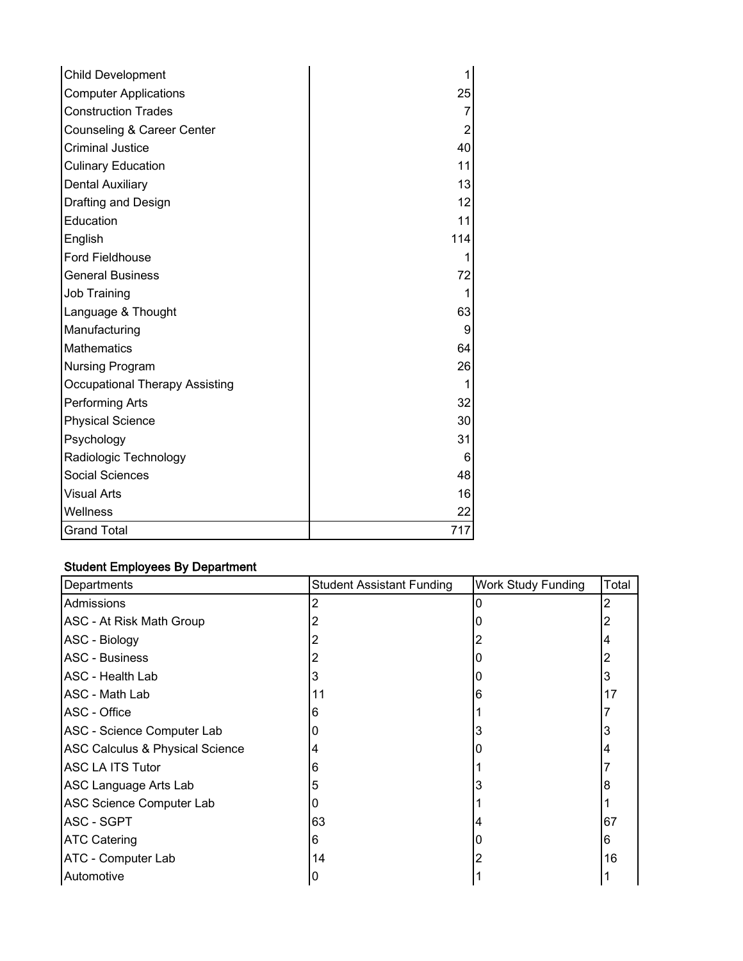| <b>Child Development</b>              |                   |
|---------------------------------------|-------------------|
| <b>Computer Applications</b>          | 25                |
| <b>Construction Trades</b>            | 7                 |
| Counseling & Career Center            | $\overline{2}$    |
| <b>Criminal Justice</b>               | 40                |
| <b>Culinary Education</b>             | 11                |
| <b>Dental Auxiliary</b>               | 13                |
| Drafting and Design                   | 12                |
| Education                             | 11                |
| English                               | 114               |
| <b>Ford Fieldhouse</b>                |                   |
| <b>General Business</b>               | 72                |
| Job Training                          |                   |
| Language & Thought                    | 63                |
| Manufacturing                         | 9                 |
| Mathematics                           | 64                |
| Nursing Program                       | 26                |
| <b>Occupational Therapy Assisting</b> |                   |
| Performing Arts                       | 32                |
| <b>Physical Science</b>               | 30 <sup>2</sup>   |
| Psychology                            | 31                |
| Radiologic Technology                 | $6 \mid$          |
| <b>Social Sciences</b>                | 48                |
| <b>Visual Arts</b>                    | 16                |
| Wellness                              | $22 \overline{)}$ |
| <b>Grand Total</b>                    | 717               |

#### Student Employees By Department

| Departments                                | <b>Student Assistant Funding</b> | <b>Work Study Funding</b> | Total |
|--------------------------------------------|----------------------------------|---------------------------|-------|
| Admissions                                 |                                  |                           |       |
| ASC - At Risk Math Group                   |                                  |                           |       |
| ASC - Biology                              |                                  |                           |       |
| <b>ASC - Business</b>                      |                                  |                           |       |
| ASC - Health Lab                           |                                  |                           |       |
| ASC - Math Lab                             | 11                               | 6                         | 17    |
| ASC - Office                               | 6                                |                           |       |
| ASC - Science Computer Lab                 |                                  |                           |       |
| <b>ASC Calculus &amp; Physical Science</b> |                                  |                           |       |
| <b>ASC LA ITS Tutor</b>                    | 6                                |                           |       |
| ASC Language Arts Lab                      | 5                                |                           |       |
| ASC Science Computer Lab                   |                                  |                           |       |
| ASC - SGPT                                 | 63                               |                           | 67    |
| <b>ATC Catering</b>                        | 6                                |                           | 6     |
| ATC - Computer Lab                         | 14                               |                           | 16    |
| Automotive                                 | 0                                |                           |       |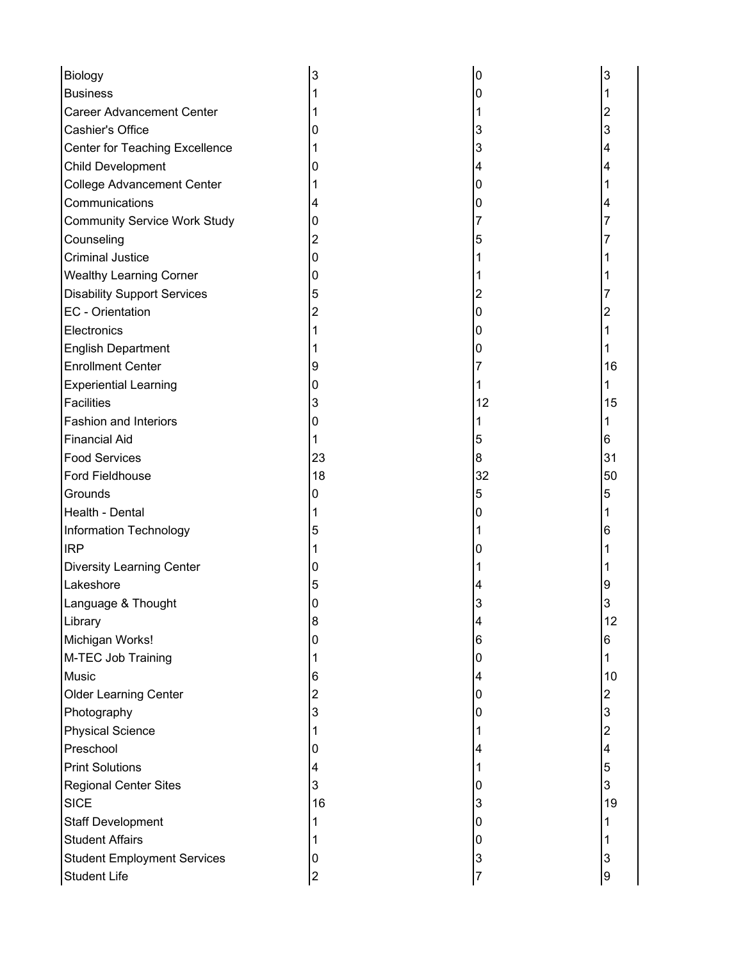| Biology                             |    | 0  | 3  |
|-------------------------------------|----|----|----|
| <b>Business</b>                     |    | 0  |    |
| <b>Career Advancement Center</b>    |    |    |    |
| Cashier's Office                    |    | 3  | 3  |
| Center for Teaching Excellence      |    | 3  |    |
| Child Development                   |    | 4  |    |
| <b>College Advancement Center</b>   |    | 0  |    |
| Communications                      |    | 0  |    |
| <b>Community Service Work Study</b> | O  | 7  |    |
| Counseling                          |    | 5  |    |
| <b>Criminal Justice</b>             | O  |    |    |
| <b>Wealthy Learning Corner</b>      | O  |    |    |
| <b>Disability Support Services</b>  | 5  | 2  |    |
| EC - Orientation                    |    | 0  |    |
| Electronics                         |    | 0  |    |
| <b>English Department</b>           |    | 0  |    |
| <b>Enrollment Center</b>            |    |    | 16 |
| <b>Experiential Learning</b>        | 0  |    |    |
| <b>Facilities</b>                   | 3  | 12 | 15 |
| <b>Fashion and Interiors</b>        |    |    |    |
| <b>Financial Aid</b>                |    | 5  | 6  |
| <b>Food Services</b>                | 23 | 8  | 31 |
| Ford Fieldhouse                     | 18 | 32 | 50 |
| Grounds                             | 0  | 5  | 5  |
| Health - Dental                     |    | 0  |    |
| Information Technology              | 5  |    | 6  |
| <b>IRP</b>                          |    | O  |    |
| Diversity Learning Center           |    |    |    |
| Lakeshore                           | 5  | 4  |    |
| Language & Thought                  |    |    |    |
| Library                             | 8  | 4  | 12 |
| Michigan Works!                     | 0  | 6  | 6  |
| M-TEC Job Training                  |    | 0  |    |
| Music                               | 6  | 4  | 10 |
| Older Learning Center               | 2  | 0  | 2  |
| Photography                         | 3  | 0  | 3  |
| <b>Physical Science</b>             |    |    |    |
| Preschool                           | O  | 4  |    |
| <b>Print Solutions</b>              |    |    | 5  |
| <b>Regional Center Sites</b>        | 3  | 0  | 3  |
| <b>SICE</b>                         | 16 | 3  | 19 |
| <b>Staff Development</b>            |    | 0  |    |
| <b>Student Affairs</b>              |    | 0  |    |
| <b>Student Employment Services</b>  | O  | 3  | 3  |
| <b>Student Life</b>                 | 2  | 7  | 9  |